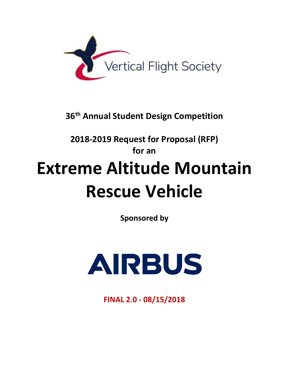

**36th Annual Student Design Competition**

# **2018-2019 Request for Proposal (RFP) for an Extreme Altitude Mountain Rescue Vehicle**

**Sponsored by**



**FINAL 2.0 - 08/15/2018**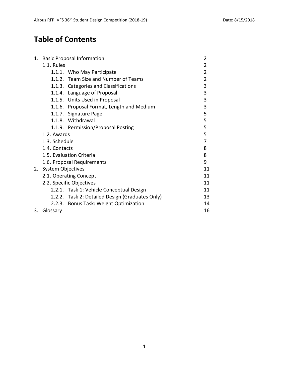# **Table of Contents**

|    | 1. Basic Proposal Information                   | $\overline{2}$ |
|----|-------------------------------------------------|----------------|
|    | 1.1. Rules                                      | 2              |
|    | 1.1.1. Who May Participate                      | $\overline{2}$ |
|    | 1.1.2. Team Size and Number of Teams            | $\overline{2}$ |
|    | 1.1.3. Categories and Classifications           | 3              |
|    | 1.1.4. Language of Proposal                     | 3              |
|    | 1.1.5. Units Used in Proposal                   | 3              |
|    | 1.1.6. Proposal Format, Length and Medium       | 3              |
|    | 1.1.7. Signature Page                           | 5              |
|    | 1.1.8. Withdrawal                               | 5              |
|    | 1.1.9. Permission/Proposal Posting              | 5              |
|    | 1.2. Awards                                     | 5              |
|    | 1.3. Schedule                                   | 7              |
|    | 1.4. Contacts                                   | 8              |
|    | 1.5. Evaluation Criteria                        | 8              |
|    | 1.6. Proposal Requirements                      | 9              |
| 2. | <b>System Objectives</b>                        | 11             |
|    | 2.1. Operating Concept                          | 11             |
|    | 2.2. Specific Objectives                        | 11             |
|    | 2.2.1. Task 1: Vehicle Conceptual Design        | 11             |
|    | 2.2.2. Task 2: Detailed Design (Graduates Only) | 13             |
|    | 2.2.3. Bonus Task: Weight Optimization          | 14             |
| 3. | Glossary                                        | 16             |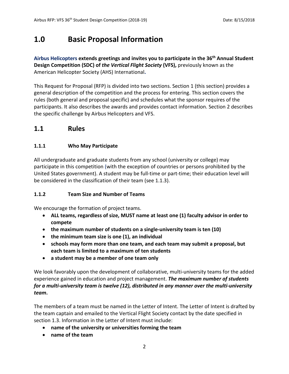# **1.0 Basic Proposal Information**

**Airbus Helicopters extends greetings and invites you to participate in the 36th Annual Student Design Competition (SDC) of** *the Vertical Flight Society* **(VFS),** previously known as the American Helicopter Society (AHS) International**.**

This Request for Proposal (RFP) is divided into two sections. Section 1 (this section) provides a general description of the competition and the process for entering. This section covers the rules (both general and proposal specific) and schedules what the sponsor requires of the participants. It also describes the awards and provides contact information. Section 2 describes the specific challenge by Airbus Helicopters and VFS.

#### **1.1 Rules**

#### **1.1.1 Who May Participate**

All undergraduate and graduate students from any school (university or college) may participate in this competition (with the exception of countries or persons prohibited by the United States government). A student may be full-time or part-time; their education level will be considered in the classification of their team (see 1.1.3).

#### **1.1.2 Team Size and Number of Teams**

We encourage the formation of project teams.

- **ALL teams, regardless of size, MUST name at least one (1) faculty advisor in order to compete**
- **the maximum number of students on a single-university team is ten (10)**
- **the minimum team size is one (1), an individual**
- **schools may form more than one team, and each team may submit a proposal, but each team is limited to a maximum of ten students**
- **a student may be a member of one team only**

We look favorably upon the development of collaborative, multi-university teams for the added experience gained in education and project management. *The maximum number of students for a multi-university team is twelve (12), distributed in any manner over the multi-university team***.**

The members of a team must be named in the Letter of Intent. The Letter of Intent is drafted by the team captain and emailed to the Vertical Flight Society contact by the date specified in section 1.3. Information in the Letter of Intent must include:

- **name of the university or universities forming the team**
- **name of the team**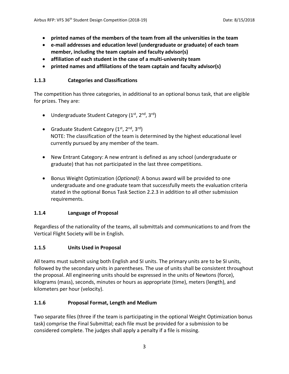- **printed names of the members of the team from all the universities in the team**
- **e-mail addresses and education level (undergraduate or graduate) of each team member, including the team captain and faculty advisor(s)**
- **affiliation of each student in the case of a multi-university team**
- **printed names and affiliations of the team captain and faculty advisor(s)**

#### **1.1.3 Categories and Classifications**

The competition has three categories, in additional to an optional bonus task, that are eligible for prizes. They are:

- Undergraduate Student Category  $(1^{st}, 2^{nd}, 3^{rd})$
- Graduate Student Category  $(1^{st}, 2^{nd}, 3^{rd})$ NOTE: The classification of the team is determined by the highest educational level currently pursued by any member of the team.
- New Entrant Category: A new entrant is defined as any school (undergraduate or graduate) that has not participated in the last three competitions.
- Bonus Weight Optimization (*Optional)*: A bonus award will be provided to one undergraduate and one graduate team that successfully meets the evaluation criteria stated in the optional Bonus Task Section 2.2.3 in addition to all other submission requirements.

#### **1.1.4 Language of Proposal**

Regardless of the nationality of the teams, all submittals and communications to and from the Vertical Flight Society will be in English.

#### **1.1.5 Units Used in Proposal**

All teams must submit using both English and SI units. The primary units are to be SI units, followed by the secondary units in parentheses. The use of units shall be consistent throughout the proposal. All engineering units should be expressed in the units of Newtons (force), kilograms (mass), seconds, minutes or hours as appropriate (time), meters (length), and kilometers per hour (velocity).

#### **1.1.6 Proposal Format, Length and Medium**

Two separate files (three if the team is participating in the optional Weight Optimization bonus task) comprise the Final Submittal; each file must be provided for a submission to be considered complete. The judges shall apply a penalty if a file is missing.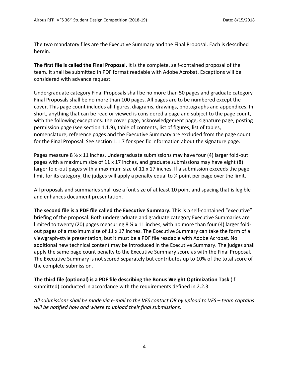The two mandatory files are the Executive Summary and the Final Proposal. Each is described herein.

**The first file is called the Final Proposal.** It is the complete, self-contained proposal of the team. It shall be submitted in PDF format readable with Adobe Acrobat. Exceptions will be considered with advance request.

Undergraduate category Final Proposals shall be no more than 50 pages and graduate category Final Proposals shall be no more than 100 pages. All pages are to be numbered except the cover. This page count includes all figures, diagrams, drawings, photographs and appendices. In short, anything that can be read or viewed is considered a page and subject to the page count, with the following exceptions: the cover page, acknowledgement page, signature page, posting permission page (see section 1.1.9), table of contents, list of figures, list of tables, nomenclature, reference pages and the Executive Summary are excluded from the page count for the Final Proposal. See section 1.1.7 for specific information about the signature page.

Pages measure 8  $\frac{1}{2}$  x 11 inches. Undergraduate submissions may have four (4) larger fold-out pages with a maximum size of 11 x 17 inches, and graduate submissions may have eight  $(8)$ larger fold-out pages with a maximum size of 11 x 17 inches. If a submission exceeds the page limit for its category, the judges will apply a penalty equal to % point per page over the limit.

All proposals and summaries shall use a font size of at least 10 point and spacing that is legible and enhances document presentation.

**The second file is a PDF file called the Executive Summary.** This is a self-contained "executive" briefing of the proposal. Both undergraduate and graduate category Executive Summaries are limited to twenty (20) pages measuring 8  $\frac{1}{2}$  x 11 inches, with no more than four (4) larger foldout pages of a maximum size of 11 x 17 inches. The Executive Summary can take the form of a viewgraph-style presentation, but it must be a PDF file readable with Adobe Acrobat. No additional new technical content may be introduced in the Executive Summary. The judges shall apply the same page count penalty to the Executive Summary score as with the Final Proposal. The Executive Summary is not scored separately but contributes up to 10% of the total score of the complete submission.

**The third file (optional) is a PDF file describing the Bonus Weight Optimization Task** (if submitted) conducted in accordance with the requirements defined in 2.2.3.

*All submissions shall be made via e-mail to the VFS contact OR by upload to VFS – team captains will be notified how and where to upload their final submissions*.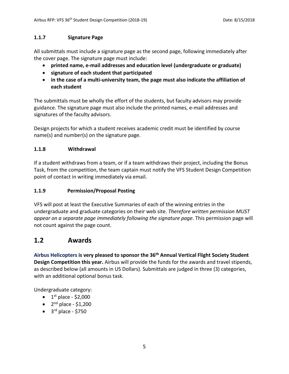#### **1.1.7 Signature Page**

All submittals must include a signature page as the second page, following immediately after the cover page. The signature page must include:

- **printed name, e-mail addresses and education level (undergraduate or graduate)**
- **signature of each student that participated**
- **in the case of a multi-university team, the page must also indicate the affiliation of each student**

The submittals must be wholly the effort of the students, but faculty advisors may provide guidance. The signature page must also include the printed names, e-mail addresses and signatures of the faculty advisors.

Design projects for which a student receives academic credit must be identified by course name(s) and number(s) on the signature page.

#### **1.1.8 Withdrawal**

If a student withdraws from a team, or if a team withdraws their project, including the Bonus Task, from the competition, the team captain must notify the VFS Student Design Competition point of contact in writing immediately via email.

#### **1.1.9 Permission/Proposal Posting**

VFS will post at least the Executive Summaries of each of the winning entries in the undergraduate and graduate categories on their web site. *Therefore written permission MUST appear on a separate page immediately following the signature page*. This permission page will not count against the page count.

## **1.2 Awards**

**Airbus Helicopters is very pleased to sponsor the 36th Annual Vertical Flight Society Student Design Competition this year.** Airbus will provide the funds for the awards and travel stipends, as described below (all amounts in US Dollars). Submittals are judged in three (3) categories, with an additional optional bonus task.

Undergraduate category:

- $\bullet$  1<sup>st</sup> place \$2,000
- $2<sup>nd</sup>$  place \$1,200
- $\bullet$  3<sup>rd</sup> place \$750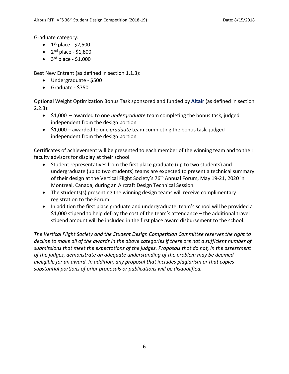Graduate category:

- $\bullet$  1<sup>st</sup> place \$2,500
- $\bullet$  2<sup>nd</sup> place \$1,800
- $\bullet$  3<sup>rd</sup> place \$1,000

Best New Entrant (as defined in section 1.1.3):

- Undergraduate \$500
- Graduate \$750

Optional Weight Optimization Bonus Task sponsored and funded by **Altair** (as defined in section 2.2.3):

- \$1,000 awarded to one *undergraduate* team completing the bonus task, judged independent from the design portion
- \$1,000 awarded to one *graduate* team completing the bonus task, judged independent from the design portion

Certificates of achievement will be presented to each member of the winning team and to their faculty advisors for display at their school.

- Student representatives from the first place graduate (up to two students) and undergraduate (up to two students) teams are expected to present a technical summary of their design at the Vertical Flight Society's 76<sup>th</sup> Annual Forum, May 19-21, 2020 in Montreal, Canada, during an Aircraft Design Technical Session.
- The students(s) presenting the winning design teams will receive complimentary registration to the Forum.
- In addition the first place graduate and undergraduate team's school will be provided a \$1,000 stipend to help defray the cost of the team's attendance – the additional travel stipend amount will be included in the first place award disbursement to the school.

*The Vertical Flight Society and the Student Design Competition Committee reserves the right to decline to make all of the awards in the above categories if there are not a sufficient number of submissions that meet the expectations of the judges. Proposals that do not, in the assessment of the judges, demonstrate an adequate understanding of the problem may be deemed ineligible for an award. In addition, any proposal that includes plagiarism or that copies substantial portions of prior proposals or publications will be disqualified.*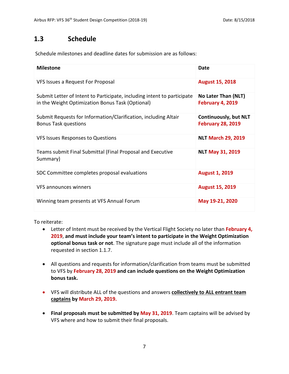## **1.3 Schedule**

Schedule milestones and deadline dates for submission are as follows:

| <b>Milestone</b>                                                                                                            | Date                                                     |
|-----------------------------------------------------------------------------------------------------------------------------|----------------------------------------------------------|
| VFS Issues a Request For Proposal                                                                                           | <b>August 15, 2018</b>                                   |
| Submit Letter of Intent to Participate, including intent to participate<br>in the Weight Optimization Bonus Task (Optional) | No Later Than (NLT)<br><b>February 4, 2019</b>           |
| Submit Requests for Information/Clarification, including Altair<br><b>Bonus Task questions</b>                              | <b>Continuously, but NLT</b><br><b>February 28, 2019</b> |
| VFS Issues Responses to Questions                                                                                           | <b>NLT March 29, 2019</b>                                |
| Teams submit Final Submittal (Final Proposal and Executive<br>Summary)                                                      | <b>NLT May 31, 2019</b>                                  |
| SDC Committee completes proposal evaluations                                                                                | <b>August 1, 2019</b>                                    |
| VFS announces winners                                                                                                       | <b>August 15, 2019</b>                                   |
| Winning team presents at VFS Annual Forum                                                                                   | May 19-21, 2020                                          |

To reiterate:

- Letter of Intent must be received by the Vertical Flight Society no later than **February 4, 2019**, **and must include your team's intent to participate in the Weight Optimization optional bonus task or not**. The signature page must include all of the information requested in section 1.1.7.
- All questions and requests for information/clarification from teams must be submitted to VFS by **February 28, 2019 and can include questions on the Weight Optimization bonus task.**
- VFS will distribute ALL of the questions and answers **collectively to ALL entrant team captains by March 29, 2019.**
- **Final proposals must be submitted by May 31, 2019**. Team captains will be advised by VFS where and how to submit their final proposals.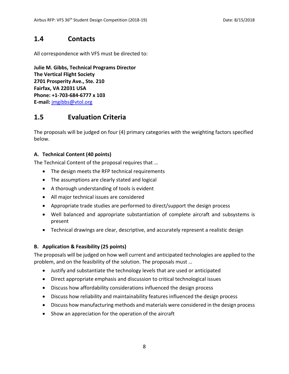## **1.4 Contacts**

All correspondence with VFS must be directed to:

**Julie M. Gibbs, Technical Programs Director The Vertical Flight Society 2701 Prosperity Ave., Ste. 210 Fairfax, VA 22031 USA Phone: +1-703-684-6777 x 103 E-mail:** [jmgibbs@vtol.org](mailto:jmgibbs@vtol.org)

## **1.5 Evaluation Criteria**

The proposals will be judged on four (4) primary categories with the weighting factors specified below.

#### **A. Technical Content (40 points)**

The Technical Content of the proposal requires that …

- The design meets the RFP technical requirements
- The assumptions are clearly stated and logical
- A thorough understanding of tools is evident
- All major technical issues are considered
- Appropriate trade studies are performed to direct/support the design process
- Well balanced and appropriate substantiation of complete aircraft and subsystems is present
- Technical drawings are clear, descriptive, and accurately represent a realistic design

#### **B. Application & Feasibility (25 points)**

The proposals will be judged on how well current and anticipated technologies are applied to the problem, and on the feasibility of the solution. The proposals must …

- Justify and substantiate the technology levels that are used or anticipated
- Direct appropriate emphasis and discussion to critical technological issues
- Discuss how affordability considerations influenced the design process
- Discuss how reliability and maintainability features influenced the design process
- Discuss how manufacturing methods and materials were considered in the design process
- Show an appreciation for the operation of the aircraft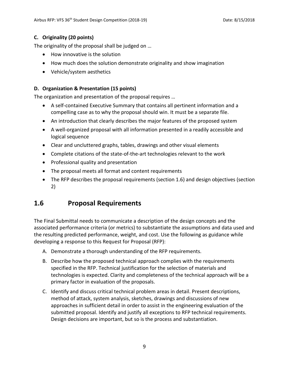#### **C. Originality (20 points)**

The originality of the proposal shall be judged on …

- How innovative is the solution
- How much does the solution demonstrate originality and show imagination
- Vehicle/system aesthetics

#### **D. Organization & Presentation (15 points)**

The organization and presentation of the proposal requires …

- A self-contained Executive Summary that contains all pertinent information and a compelling case as to why the proposal should win. It must be a separate file.
- An introduction that clearly describes the major features of the proposed system
- A well-organized proposal with all information presented in a readily accessible and logical sequence
- Clear and uncluttered graphs, tables, drawings and other visual elements
- Complete citations of the state-of-the-art technologies relevant to the work
- Professional quality and presentation
- The proposal meets all format and content requirements
- The RFP describes the proposal requirements (section 1.6) and design objectives (section 2)

## **1.6 Proposal Requirements**

The Final Submittal needs to communicate a description of the design concepts and the associated performance criteria (or metrics) to substantiate the assumptions and data used and the resulting predicted performance, weight, and cost. Use the following as guidance while developing a response to this Request for Proposal (RFP):

- A. Demonstrate a thorough understanding of the RFP requirements.
- B. Describe how the proposed technical approach complies with the requirements specified in the RFP. Technical justification for the selection of materials and technologies is expected. Clarity and completeness of the technical approach will be a primary factor in evaluation of the proposals.
- C. Identify and discuss critical technical problem areas in detail. Present descriptions, method of attack, system analysis, sketches, drawings and discussions of new approaches in sufficient detail in order to assist in the engineering evaluation of the submitted proposal. Identify and justify all exceptions to RFP technical requirements. Design decisions are important, but so is the process and substantiation.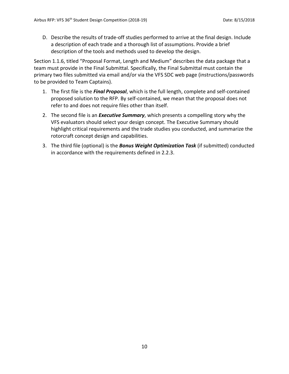D. Describe the results of trade-off studies performed to arrive at the final design. Include a description of each trade and a thorough list of assumptions. Provide a brief description of the tools and methods used to develop the design.

Section 1.1.6, titled "Proposal Format, Length and Medium" describes the data package that a team must provide in the Final Submittal. Specifically, the Final Submittal must contain the primary two files submitted via email and/or via the VFS SDC web page (instructions/passwords to be provided to Team Captains).

- 1. The first file is the *Final Proposal*, which is the full length, complete and self-contained proposed solution to the RFP. By self-contained, we mean that the proposal does not refer to and does not require files other than itself.
- 2. The second file is an *Executive Summary*, which presents a compelling story why the VFS evaluators should select your design concept. The Executive Summary should highlight critical requirements and the trade studies you conducted, and summarize the rotorcraft concept design and capabilities.
- 3. The third file (optional) is the *Bonus Weight Optimization Task* (if submitted) conducted in accordance with the requirements defined in 2.2.3.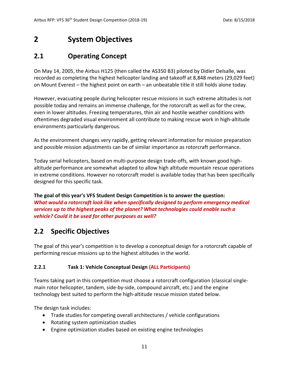# **2 System Objectives**

## **2.1 Operating Concept**

On May 14, 2005, the Airbus H125 (then called the AS350 B3) piloted by Didier Delsalle, was recorded as completing the highest helicopter landing and takeoff at 8,848 meters (29,029 feet) on Mount Everest – the highest point on earth – an unbeatable title it still holds alone today.

However, evacuating people during helicopter rescue missions in such extreme altitudes is not possible today and remains an immense challenge, for the rotorcraft as well as for the crew, even in lower altitudes. Freezing temperatures, thin air and hostile weather conditions with oftentimes degraded visual environment all contribute to making rescue work in high-altitude environments particularly dangerous.

As the environment changes very rapidly, getting relevant information for mission preparation and possible mission adjustments can be of similar importance as rotorcraft performance.

Today serial helicopters, based on multi-purpose design trade-offs, with known good highaltitude performance are somewhat adapted to allow high altitude mountain rescue operations in extreme conditions. However no rotorcraft model is available today that has been specifically designed for this specific task.

**The goal of this year's VFS Student Design Competition is to answer the question:** *What would a rotorcraft look like when specifically designed to perform emergency medical services up to the highest peaks of the planet? What technologies could enable such a vehicle? Could it be used for other purposes as well?*

## **2.2 Specific Objectives**

The goal of this year's competition is to develop a conceptual design for a rotorcraft capable of performing rescue missions up to the highest altitudes in the world.

#### **2.2.1 Task 1: Vehicle Conceptual Design (ALL Participants)**

Teams taking part in this competition must choose a rotorcraft configuration (classical singlemain rotor helicopter, tandem, side-by-side, compound aircraft, etc.) and the engine technology best suited to perform the high-altitude rescue mission stated below.

The design task includes:

- Trade studies for competing overall architectures / vehicle configurations
- Rotating system optimization studies
- Engine optimization studies based on existing engine technologies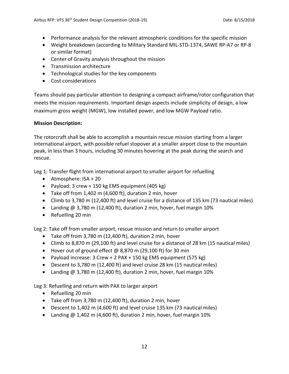- Performance analysis for the relevant atmospheric conditions for the specific mission
- Weight breakdown (according to Military Standard MIL-STD-1374, SAWE RP-A7 or RP-8 or similar format)
- Center of Gravity analysis throughout the mission
- Transmission architecture
- Technological studies for the key components
- Cost considerations

Teams should pay particular attention to designing a compact airframe/rotor configuration that meets the mission requirements. Important design aspects include simplicity of design, a low maximum gross weight (MGW), low installed power, and low MGW Payload ratio.

#### **Mission Description:**

The rotorcraft shall be able to accomplish a mountain rescue mission starting from a larger international airport, with possible refuel stopover at a smaller airport close to the mountain peak, in less than 3 hours, including 30 minutes hovering at the peak during the search and rescue.

Leg 1: Transfer flight from international airport to smaller airport for refuelling

- Atmosphere: ISA + 20
- Payload: 3 crew + 150 kg EMS equipment (405 kg)
- Take off from 1,402 m (4,600 ft), duration 2 min, hover
- Climb to 3,780 m (12,400 ft) and level cruise for a distance of 135 km (73 nautical miles)
- Landing @ 3,780 m (12,400 ft), duration 2 min, hover, fuel margin 10%
- Refuelling 20 min

Leg 2: Take off from smaller airport, rescue mission and return to smaller airport

- Take off from 3,780 m (12,400 ft), duration 2 min, hover
- Climb to 8,870 m (29,100 ft) and level cruise for a distance of 28 km (15 nautical miles)
- Hover out of ground effect @ 8,870 m (29,100 ft) for 30 min
- Payload increase: 3 Crew + 2 PAX + 150 kg EMS equipment (575 kg)
- Descent to 3,780 m (12,400 ft) and level cruise 28 km (15 nautical miles)
- Landing @ 3,780 m (12,400 ft), duration 2 min, hover, fuel margin 10%

Leg 3: Refuelling and return with PAX to larger airport

- Refuelling 20 min
- Take off from 3,780 m (12,400 ft), duration 2 min, hover
- Descent to 1,402 m (4,600 ft) and level cruise 135 km (73 nautical miles)
- Landing  $@1,402$  m (4,600 ft), duration 2 min, hover, fuel margin 10%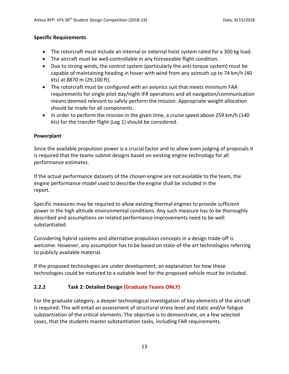#### **Specific Requirements**

- The rotorcraft must include an internal or external hoist system rated for a 300 kg load.
- The aircraft must be well-controllable in any foreseeable flight condition.
- Due to strong winds, the control system (particularly the anti-torque system) must be capable of maintaining heading in hover with wind from any azimuth up to 74 km/h (40 kts) at 8870 m (29,100 ft).
- The rotorcraft must be configured with an avionics suit that meets minimum FAA requirements for single pilot day/night IFR operations and all navigation/communication means deemed relevant to safely perform the mission. Appropriate weight allocation should be made for all components.
- In order to perform the mission in the given time, a cruise speed above 259 km/h (140 kts) for the transfer flight (Leg 1) should be considered.

#### **Powerplant**

Since the available propulsion power is a crucial factor and to allow even judging of proposals it is required that the teams submit designs based on existing engine technology for all performance estimates.

If the actual performance datasets of the chosen engine are not available to the team, the engine performance model used to describe the engine shall be included in the report.

Specific measures may be required to allow existing thermal engines to provide sufficient power in the high altitude environmental conditions. Any such measure has to be thoroughly described and assumptions on related performance improvements need to be well substantiated.

Considering hybrid systems and alternative propulsion concepts in a design trade-off is welcome. However, any assumption has to be based on state-of-the art technologies referring to publicly available material.

If the proposed technologies are under development, an explanation for how these technologies could be matured to a suitable level for the proposed vehicle must be included.

#### **2.2.2 Task 2: Detailed Design (Graduate Teams ONLY)**

For the graduate category, a deeper technological investigation of key elements of the aircraft is required. This will entail an assessment of structural stress level and static and/or fatigue substantiation of the critical elements. The objective is to demonstrate, on a few selected cases, that the students master substantiation tasks, including FAR requirements.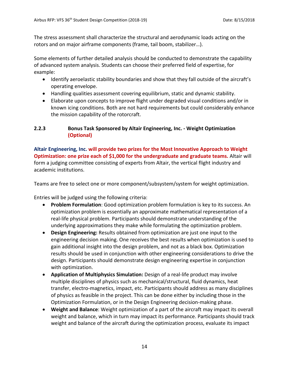The stress assessment shall characterize the structural and aerodynamic loads acting on the rotors and on major airframe components (frame, tail boom, stabilizer…).

Some elements of further detailed analysis should be conducted to demonstrate the capability of advanced system analysis. Students can choose their preferred field of expertise, for example:

- Identify aeroelastic stability boundaries and show that they fall outside of the aircraft's operating envelope.
- Handling qualities assessment covering equilibrium, static and dynamic stability.
- Elaborate upon concepts to improve flight under degraded visual conditions and/or in known icing conditions. Both are not hard requirements but could considerably enhance the mission capability of the rotorcraft.

#### **2.2.3 Bonus Task Sponsored by Altair Engineering, Inc. - Weight Optimization (Optional)**

**Altair Engineering, Inc. will provide two prizes for the Most Innovative Approach to Weight Optimization: one prize each of \$1,000 for the undergraduate and graduate teams.** Altair will form a judging committee consisting of experts from Altair, the vertical flight industry and academic institutions.

Teams are free to select one or more component/subsystem/system for weight optimization.

Entries will be judged using the following criteria:

- **Problem Formulation**: Good optimization problem formulation is key to its success. An optimization problem is essentially an approximate mathematical representation of a real-life physical problem. Participants should demonstrate understanding of the underlying approximations they make while formulating the optimization problem.
- **Design Engineering:** Results obtained from optimization are just one input to the engineering decision making. One receives the best results when optimization is used to gain additional insight into the design problem, and not as a black box. Optimization results should be used in conjunction with other engineering considerations to drive the design. Participants should demonstrate design engineering expertise in conjunction with optimization.
- **Application of Multiphysics Simulation:** Design of a real-life product may involve multiple disciplines of physics such as mechanical/structural, fluid dynamics, heat transfer, electro-magnetics, impact, etc. Participants should address as many disciplines of physics as feasible in the project. This can be done either by including those in the Optimization Formulation, or in the Design Engineering decision-making phase.
- **Weight and Balance**: Weight optimization of a part of the aircraft may impact its overall weight and balance, which in turn may impact its performance. Participants should track weight and balance of the aircraft during the optimization process, evaluate its impact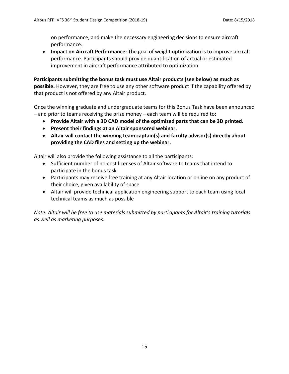on performance, and make the necessary engineering decisions to ensure aircraft performance.

• **Impact on Aircraft Performance:** The goal of weight optimization is to improve aircraft performance. Participants should provide quantification of actual or estimated improvement in aircraft performance attributed to optimization.

**Participants submitting the bonus task must use Altair products (see below) as much as possible.** However, they are free to use any other software product if the capability offered by that product is not offered by any Altair product.

Once the winning graduate and undergraduate teams for this Bonus Task have been announced – and prior to teams receiving the prize money – each team will be required to:

- **Provide Altair with a 3D CAD model of the optimized parts that can be 3D printed.**
- **Present their findings at an Altair sponsored webinar.**
- **Altair will contact the winning team captain(s) and faculty advisor(s) directly about providing the CAD files and setting up the webinar.**

Altair will also provide the following assistance to all the participants:

- Sufficient number of no-cost licenses of Altair software to teams that intend to participate in the bonus task
- Participants may receive free training at any Altair location or online on any product of their choice, given availability of space
- Altair will provide technical application engineering support to each team using local technical teams as much as possible

*Note: Altair will be free to use materials submitted by participants for Altair's training tutorials as well as marketing purposes.*